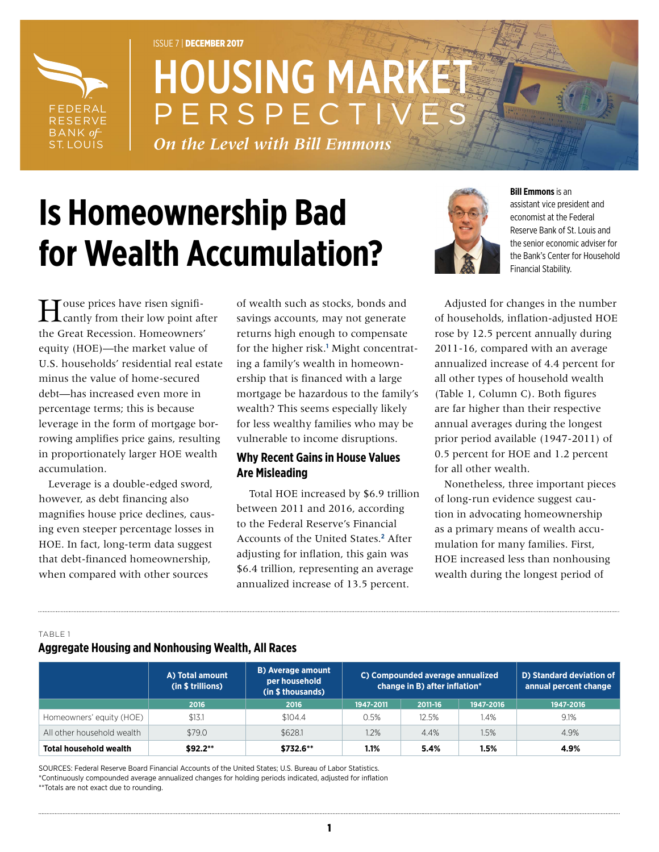

# ISSUE 7 | DECEMBER 2017 **HOUSING MARK** PERSPECT

*On the Level with Bill Emmons*

# **Is Homeownership Bad for Wealth Accumulation?**



**Bill Emmons** is an

assistant vice president and economist at the Federal Reserve Bank of St. Louis and the senior economic adviser for the Bank's Center for Household Financial Stability.

House prices have risen signifi-cantly from their low point after the Great Recession. Homeowners' equity (HOE)—the market value of U.S. households' residential real estate minus the value of home-secured debt—has increased even more in percentage terms; this is because leverage in the form of mortgage borrowing amplifies price gains, resulting in proportionately larger HOE wealth accumulation.

Leverage is a double-edged sword, however, as debt financing also magnifies house price declines, causing even steeper percentage losses in HOE. In fact, long-term data suggest that debt-financed homeownership, when compared with other sources

of wealth such as stocks, bonds and savings accounts, may not generate returns high enough to compensate for the higher risk.<sup>[1](#page-2-0)</sup> Might concentrating a family's wealth in homeownership that is financed with a large mortgage be hazardous to the family's wealth? This seems especially likely for less wealthy families who may be vulnerable to income disruptions.

## **Why Recent Gains in House Values Are Misleading**

 Total HOE increased by \$6.9 trillion between 2011 and 2016, according to the Federal Reserve's Financial Accounts of the United States.**[2](#page-2-1)** After adjusting for inflation, this gain was \$6.4 trillion, representing an average annualized increase of 13.5 percent.

Adjusted for changes in the number of households, inflation-adjusted HOE rose by 12.5 percent annually during 2011-16, compared with an average annualized increase of 4.4 percent for all other types of household wealth (Table 1, Column C). Both figures are far higher than their respective annual averages during the longest prior period available (1947-2011) of 0.5 percent for HOE and 1.2 percent for all other wealth.

Nonetheless, three important pieces of long-run evidence suggest caution in advocating homeownership as a primary means of wealth accumulation for many families. First, HOE increased less than nonhousing wealth during the longest period of

#### TABLE 1

### **Aggregate Housing and Nonhousing Wealth, All Races**

|                               | A) Total amount<br>(in \$ trillions) | <b>B)</b> Average amount<br>per household<br>(in \$ thousands) | C) Compounded average annualized<br>change in B) after inflation* |         | D) Standard deviation of<br>annual percent change |           |
|-------------------------------|--------------------------------------|----------------------------------------------------------------|-------------------------------------------------------------------|---------|---------------------------------------------------|-----------|
|                               | 2016                                 | 2016                                                           | 1947-2011                                                         | 2011-16 | 1947-2016                                         | 1947-2016 |
| Homeowners' equity (HOE)      | \$13.1                               | \$104.4                                                        | 0.5%                                                              | 12.5%   | 1.4%                                              | 9.1%      |
| All other household wealth    | \$79.0                               | \$628.1                                                        | 1.2%                                                              | 4.4%    | 1.5%                                              | 4.9%      |
| <b>Total household wealth</b> | $$92.2**$                            | $$732.6**$                                                     | 1.1%                                                              | 5.4%    | 1.5%                                              | 4.9%      |

SOURCES: Federal Reserve Board Financial Accounts of the United States; U.S. Bureau of Labor Statistics. \*Continuously compounded average annualized changes for holding periods indicated, adjusted for inflation \*\*Totals are not exact due to rounding.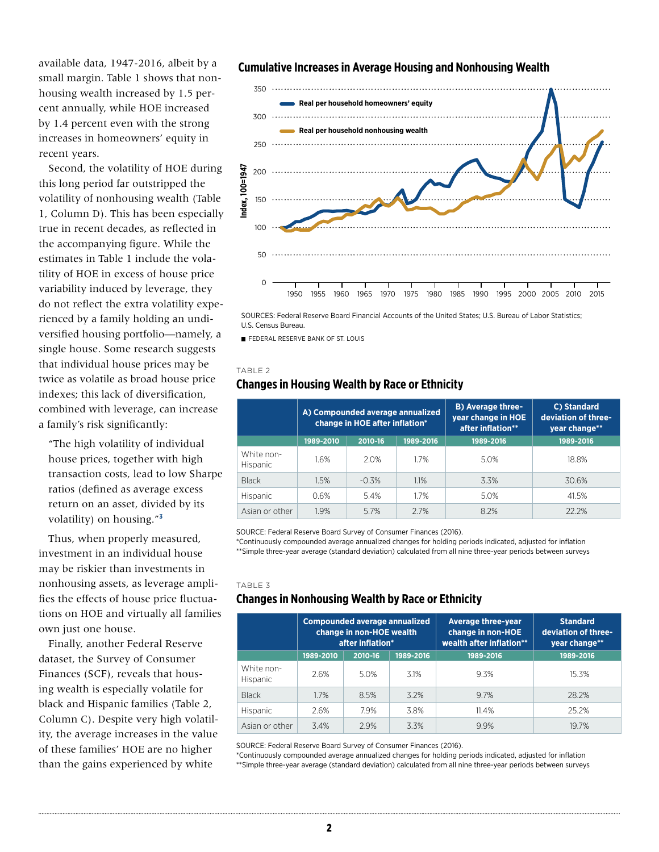available data, 1947-2016, albeit by a small margin. Table 1 shows that nonhousing wealth increased by 1.5 percent annually, while HOE increased by 1.4 percent even with the strong increases in homeowners' equity in recent years.

Second, the volatility of HOE during this long period far outstripped the volatility of nonhousing wealth (Table 1, Column D). This has been especially true in recent decades, as reflected in the accompanying figure. While the estimates in Table 1 include the volatility of HOE in excess of house price variability induced by leverage, they do not reflect the extra volatility experienced by a family holding an undiversified housing portfolio—namely, a single house. Some research suggests that individual house prices may be twice as volatile as broad house price indexes; this lack of diversification, combined with leverage, can increase a family's risk significantly:

"The high volatility of individual house prices, together with high transaction costs, lead to low Sharpe ratios (defined as average excess return on an asset, divided by its volatility) on housing."**[3](#page-2-2)**

Thus, when properly measured, investment in an individual house may be riskier than investments in nonhousing assets, as leverage amplifies the effects of house price fluctuations on HOE and virtually all families own just one house.

Finally, another Federal Reserve dataset, the Survey of Consumer Finances (SCF), reveals that housing wealth is especially volatile for black and Hispanic families (Table 2, Column C). Despite very high volatility, the average increases in the value of these families' HOE are no higher than the gains experienced by white

#### **Cumulative Increases in Average Housing and Nonhousing Wealth**



SOURCES: Federal Reserve Board Financial Accounts of the United States; U.S. Bureau of Labor Statistics; U.S. Census Bureau.

**FEDERAL RESERVE BANK OF ST. LOUIS** 

#### TABLE 2

### **Changes in Housing Wealth by Race or Ethnicity**

|                               | A) Compounded average annualized<br>change in HOE after inflation* |         |           | <b>B) Average three-</b><br>year change in HOE<br>after inflation** | C) Standard<br>deviation of three-<br>year change** |
|-------------------------------|--------------------------------------------------------------------|---------|-----------|---------------------------------------------------------------------|-----------------------------------------------------|
|                               | 1989-2010                                                          | 2010-16 | 1989-2016 | 1989-2016                                                           | 1989-2016                                           |
| White non-<br><b>Hispanic</b> | 1.6%                                                               | 2.0%    | 1.7%      | 5.0%                                                                | 18.8%                                               |
| <b>Black</b>                  | 1.5%                                                               | $-0.3%$ | 1.1%      | 3.3%                                                                | 30.6%                                               |
| <b>Hispanic</b>               | 0.6%                                                               | 5.4%    | 17%       | 5.0%                                                                | 41.5%                                               |
| Asian or other                | 1.9%                                                               | 5.7%    | 2.7%      | 8.2%                                                                | 22.2%                                               |

SOURCE: Federal Reserve Board Survey of Consumer Finances (2016).

\*Continuously compounded average annualized changes for holding periods indicated, adjusted for inflation \*\*Simple three-year average (standard deviation) calculated from all nine three-year periods between surveys

TABLE 3

### **Changes in Nonhousing Wealth by Race or Ethnicity**

|                               | <b>Compounded average annualized</b><br>change in non-HOE wealth<br>after inflation* |         | <b>Average three-year</b><br>change in non-HOE<br>wealth after inflation** | <b>Standard</b><br>deviation of three-<br>year change** |           |
|-------------------------------|--------------------------------------------------------------------------------------|---------|----------------------------------------------------------------------------|---------------------------------------------------------|-----------|
|                               | 1989-2010                                                                            | 2010-16 | 1989-2016                                                                  | 1989-2016                                               | 1989-2016 |
| White non-<br><b>Hispanic</b> | 2.6%                                                                                 | 5.0%    | 3.1%                                                                       | 9.3%                                                    | 15.3%     |
| <b>Black</b>                  | 1.7%                                                                                 | 8.5%    | 3.2%                                                                       | 9.7%                                                    | 28.2%     |
| <b>Hispanic</b>               | 2.6%                                                                                 | 7.9%    | 3.8%                                                                       | 11.4%                                                   | 25.2%     |
| Asian or other                | 3.4%                                                                                 | 2.9%    | 3.3%                                                                       | 9.9%                                                    | 19.7%     |

SOURCE: Federal Reserve Board Survey of Consumer Finances (2016).

\*Continuously compounded average annualized changes for holding periods indicated, adjusted for inflation \*\*Simple three-year average (standard deviation) calculated from all nine three-year periods between surveys